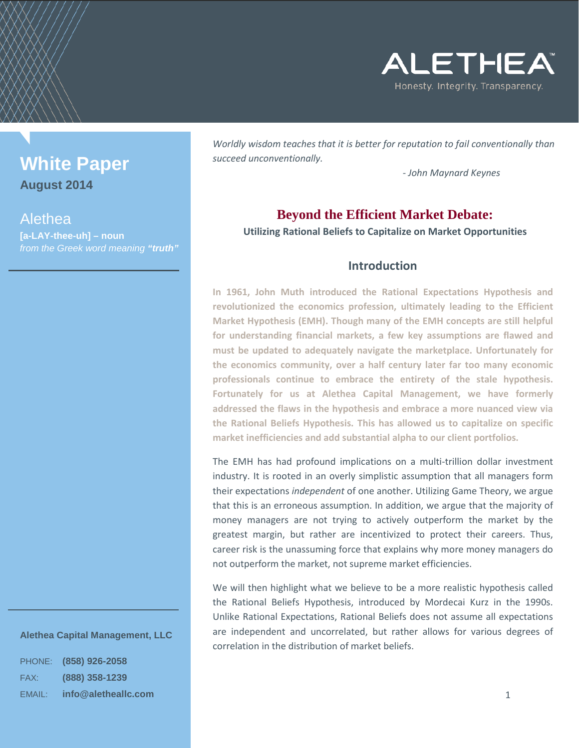

# **White Paper**

**August 2014**

# Alethea

**[a-LAY-thee-uh] – noun** *from the Greek word meaning "truth"*

# *Worldly wisdom teaches that it is better for reputation to fail conventionally than succeed unconventionally.*

*- John Maynard Keynes*

# **Beyond the Efficient Market Debate:**

**Utilizing Rational Beliefs to Capitalize on Market Opportunities**

# **Introduction**

**In 1961, John Muth introduced the Rational Expectations Hypothesis and revolutionized the economics profession, ultimately leading to the Efficient Market Hypothesis (EMH). Though many of the EMH concepts are still helpful for understanding financial markets, a few key assumptions are flawed and must be updated to adequately navigate the marketplace. Unfortunately for the economics community, over a half century later far too many economic professionals continue to embrace the entirety of the stale hypothesis. Fortunately for us at Alethea Capital Management, we have formerly addressed the flaws in the hypothesis and embrace a more nuanced view via the Rational Beliefs Hypothesis. This has allowed us to capitalize on specific market inefficiencies and add substantial alpha to our client portfolios.**

The EMH has had profound implications on a multi-trillion dollar investment industry. It is rooted in an overly simplistic assumption that all managers form their expectations *independent* of one another. Utilizing Game Theory, we argue that this is an erroneous assumption. In addition, we argue that the majority of money managers are not trying to actively outperform the market by the greatest margin, but rather are incentivized to protect their careers. Thus, career risk is the unassuming force that explains why more money managers do not outperform the market, not supreme market efficiencies.

We will then highlight what we believe to be a more realistic hypothesis called the Rational Beliefs Hypothesis, introduced by Mordecai Kurz in the 1990s. Unlike Rational Expectations, Rational Beliefs does not assume all expectations are independent and uncorrelated, but rather allows for various degrees of correlation in the distribution of market beliefs.

# <span id="page-0-0"></span>**Alethea Capital Management, LLC**

| <b>PHONE:</b> | (858) 926-2058      |
|---------------|---------------------|
| FAX:          | (888) 358-1239      |
| EMAIL:        | info@aletheallc.com |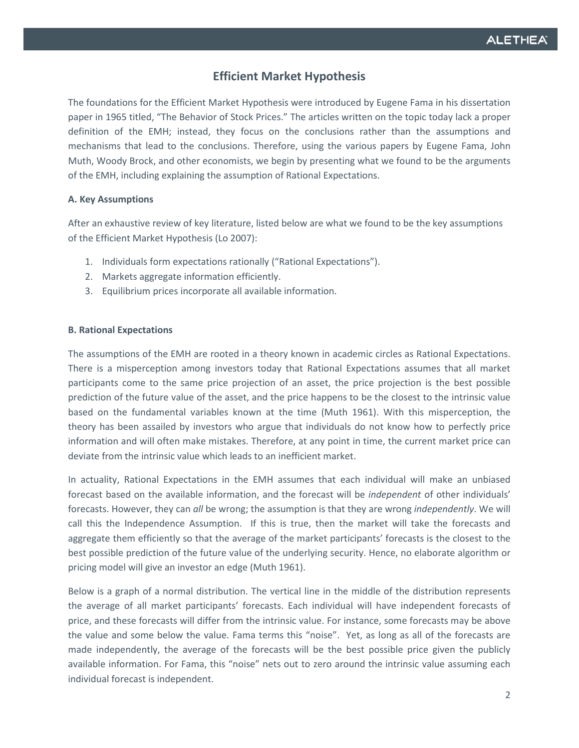# **Efficient Market Hypothesis**

The foundations for the Efficient Market Hypothesis were introduced by Eugene Fama in his dissertation paper in 1965 titled, "The Behavior of Stock Prices." The articles written on the topic today lack a proper definition of the EMH; instead, they focus on the conclusions rather than the assumptions and mechanisms that lead to the conclusions. Therefore, using the various papers by Eugene Fama, John Muth, Woody Brock, and other economists, we begin by presenting what we found to be the arguments of the EMH, including explaining the assumption of Rational Expectations.

#### **A. Key Assumptions**

After an exhaustive review of key literature, listed below are what we found to be the key assumptions of the Efficient Market Hypothesis (Lo 2007):

- 1. Individuals form expectations rationally ("Rational Expectations").
- 2. Markets aggregate information efficiently.
- 3. Equilibrium prices incorporate all available information.

#### **B. Rational Expectations**

The assumptions of the EMH are rooted in a theory known in academic circles as Rational Expectations. There is a misperception among investors today that Rational Expectations assumes that all market participants come to the same price projection of an asset, the price projection is the best possible prediction of the future value of the asset, and the price happens to be the closest to the intrinsic value based on the fundamental variables known at the time (Muth 1961). With this misperception, the theory has been assailed by investors who argue that individuals do not know how to perfectly price information and will often make mistakes. Therefore, at any point in time, the current market price can deviate from the intrinsic value which leads to an inefficient market.

In actuality, Rational Expectations in the EMH assumes that each individual will make an unbiased forecast based on the available information, and the forecast will be *independent* of other individuals' forecasts. However, they can *all* be wrong; the assumption is that they are wrong *independently*. We will call this the Independence Assumption. If this is true, then the market will take the forecasts and aggregate them efficiently so that the average of the market participants' forecasts is the closest to the best possible prediction of the future value of the underlying security. Hence, no elaborate algorithm or pricing model will give an investor an edge (Muth 1961).

Below is a graph of a normal distribution. The vertical line in the middle of the distribution represents the average of all market participants' forecasts. Each individual will have independent forecasts of price, and these forecasts will differ from the intrinsic value. For instance, some forecasts may be above the value and some below the value. Fama terms this "noise". Yet, as long as all of the forecasts are made independently, the average of the forecasts will be the best possible price given the publicly available information. For Fama, this "noise" nets out to zero around the intrinsic value assuming each individual forecast is independent.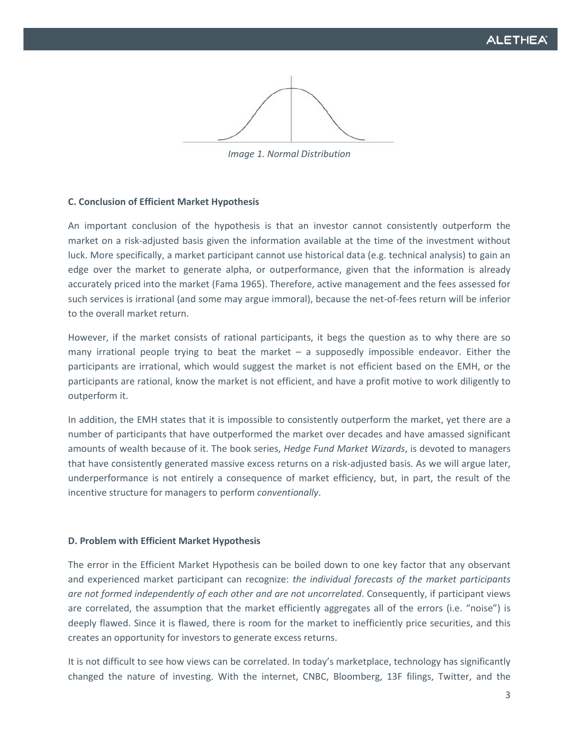*Image 1. Normal Distribution*

#### **C. Conclusion of Efficient Market Hypothesis**

An important conclusion of the hypothesis is that an investor cannot consistently outperform the market on a risk-adjusted basis given the information available at the time of the investment without luck. More specifically, a market participant cannot use historical data (e.g. technical analysis) to gain an edge over the market to generate alpha, or outperformance, given that the information is already accurately priced into the market (Fama 1965). Therefore, active management and the fees assessed for such services is irrational (and some may argue immoral), because the net-of-fees return will be inferior to the overall market return.

However, if the market consists of rational participants, it begs the question as to why there are so many irrational people trying to beat the market – a supposedly impossible endeavor. Either the participants are irrational, which would suggest the market is not efficient based on the EMH, or the participants are rational, know the market is not efficient, and have a profit motive to work diligently to outperform it.

In addition, the EMH states that it is impossible to consistently outperform the market, yet there are a number of participants that have outperformed the market over decades and have amassed significant amounts of wealth because of it. The book series, *Hedge Fund Market Wizards*, is devoted to managers that have consistently generated massive excess returns on a risk-adjusted basis. As we will argue later, underperformance is not entirely a consequence of market efficiency, but, in part, the result of the incentive structure for managers to perform *conventionally*.

#### **D. Problem with Efficient Market Hypothesis**

The error in the Efficient Market Hypothesis can be boiled down to one key factor that any observant and experienced market participant can recognize: *the individual forecasts of the market participants are not formed independently of each other and are not uncorrelated*. Consequently, if participant views are correlated, the assumption that the market efficiently aggregates all of the errors (i.e. "noise") is deeply flawed. Since it is flawed, there is room for the market to inefficiently price securities, and this creates an opportunity for investors to generate excess returns.

It is not difficult to see how views can be correlated. In today's marketplace, technology has significantly changed the nature of investing. With the internet, CNBC, Bloomberg, 13F filings, Twitter, and the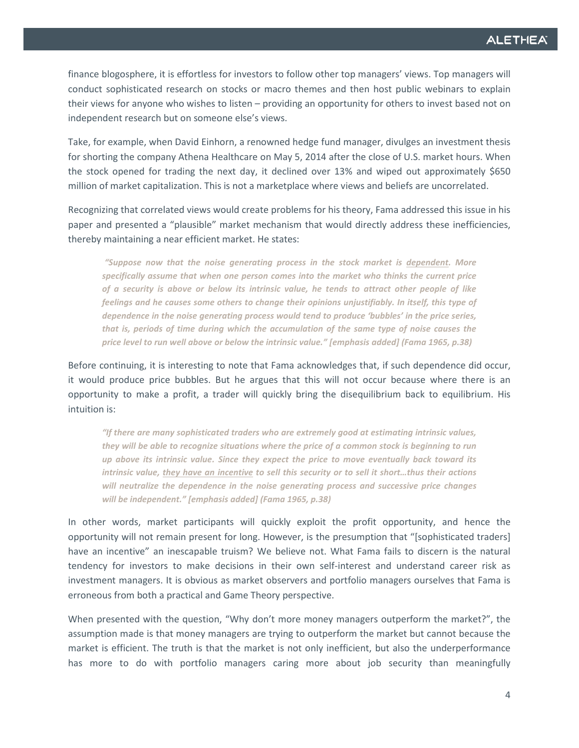finance blogosphere, it is effortless for investors to follow other top managers' views. Top managers will conduct sophisticated research on stocks or macro themes and then host public webinars to explain their views for anyone who wishes to listen – providing an opportunity for others to invest based not on independent research but on someone else's views.

Take, for example, when David Einhorn, a renowned hedge fund manager, divulges an investment thesis for shorting the company Athena Healthcare on May 5, 2014 after the close of U.S. market hours. When the stock opened for trading the next day, it declined over 13% and wiped out approximately \$650 million of market capitalization. This is not a marketplace where views and beliefs are uncorrelated.

Recognizing that correlated views would create problems for his theory, Fama addressed this issue in his paper and presented a "plausible" market mechanism that would directly address these inefficiencies, thereby maintaining a near efficient market. He states:

*"Suppose now that the noise generating process in the stock market is dependent. More specifically assume that when one person comes into the market who thinks the current price of a security is above or below its intrinsic value, he tends to attract other people of like feelings and he causes some others to change their opinions unjustifiably. In itself, this type of dependence in the noise generating process would tend to produce 'bubbles' in the price series, that is, periods of time during which the accumulation of the same type of noise causes the price level to run well above or below the intrinsic value." [emphasis added] (Fama 1965, p.38)*

Before continuing, it is interesting to note that Fama acknowledges that, if such dependence did occur, it would produce price bubbles. But he argues that this will not occur because where there is an opportunity to make a profit, a trader will quickly bring the disequilibrium back to equilibrium. His intuition is:

*"If there are many sophisticated traders who are extremely good at estimating intrinsic values, they will be able to recognize situations where the price of a common stock is beginning to run up above its intrinsic value. Since they expect the price to move eventually back toward its intrinsic value, they have an incentive to sell this security or to sell it short…thus their actions will neutralize the dependence in the noise generating process and successive price changes will be independent." [emphasis added] (Fama 1965, p.38)*

In other words, market participants will quickly exploit the profit opportunity, and hence the opportunity will not remain present for long. However, is the presumption that "[sophisticated traders] have an incentive" an inescapable truism? We believe not. What Fama fails to discern is the natural tendency for investors to make decisions in their own self-interest and understand career risk as investment managers. It is obvious as market observers and portfolio managers ourselves that Fama is erroneous from both a practical and Game Theory perspective.

When presented with the question, "Why don't more money managers outperform the market?", the assumption made is that money managers are trying to outperform the market but cannot because the market is efficient. The truth is that the market is not only inefficient, but also the underperformance has more to do with portfolio managers caring more about job security than meaningfully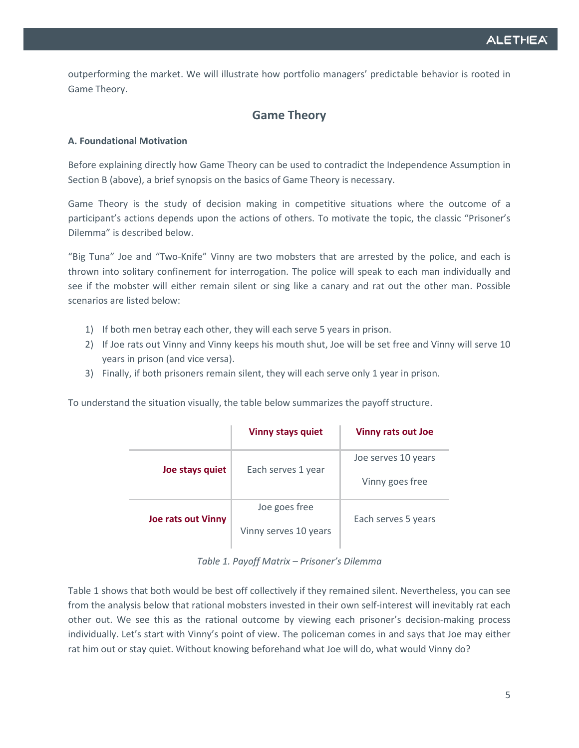outperforming the market. We will illustrate how portfolio managers' predictable behavior is rooted in Game Theory.

# **Game Theory**

## **A. Foundational Motivation**

Before explaining directly how Game Theory can be used to contradict the Independence Assumption in Section B (above), a brief synopsis on the basics of Game Theory is necessary.

Game Theory is the study of decision making in competitive situations where the outcome of a participant's actions depends upon the actions of others. To motivate the topic, the classic "Prisoner's Dilemma" is described below.

"Big Tuna" Joe and "Two-Knife" Vinny are two mobsters that are arrested by the police, and each is thrown into solitary confinement for interrogation. The police will speak to each man individually and see if the mobster will either remain silent or sing like a canary and rat out the other man. Possible scenarios are listed below:

- 1) If both men betray each other, they will each serve 5 years in prison.
- 2) If Joe rats out Vinny and Vinny keeps his mouth shut, Joe will be set free and Vinny will serve 10 years in prison (and vice versa).
- 3) Finally, if both prisoners remain silent, they will each serve only 1 year in prison.

To understand the situation visually, the table below summarizes the payoff structure.

|                           | <b>Vinny stays quiet</b> | Vinny rats out Joe  |
|---------------------------|--------------------------|---------------------|
| Joe stays quiet           | Each serves 1 year       | Joe serves 10 years |
|                           |                          | Vinny goes free     |
| <b>Joe rats out Vinny</b> | Joe goes free            |                     |
|                           | Vinny serves 10 years    | Each serves 5 years |

*Table 1. Payoff Matrix – Prisoner's Dilemma*

Table 1 shows that both would be best off collectively if they remained silent. Nevertheless, you can see from the analysis below that rational mobsters invested in their own self-interest will inevitably rat each other out. We see this as the rational outcome by viewing each prisoner's decision-making process individually. Let's start with Vinny's point of view. The policeman comes in and says that Joe may either rat him out or stay quiet. Without knowing beforehand what Joe will do, what would Vinny do?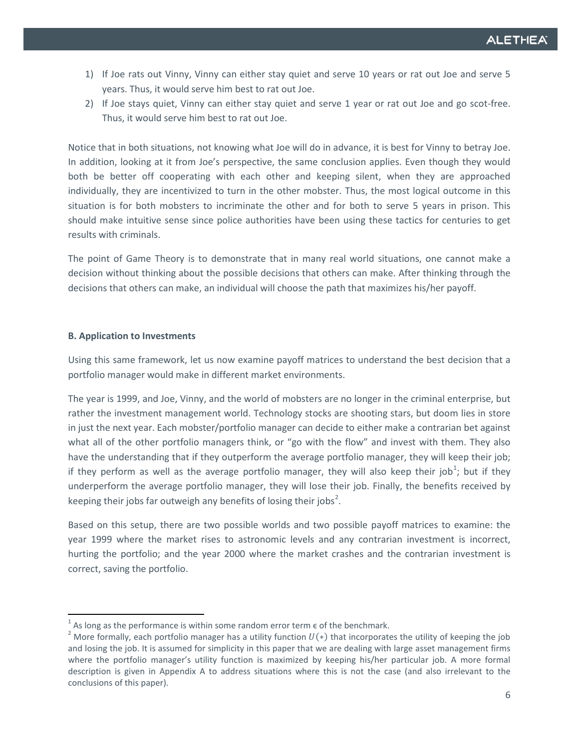- 1) If Joe rats out Vinny, Vinny can either stay quiet and serve 10 years or rat out Joe and serve 5 years. Thus, it would serve him best to rat out Joe.
- 2) If Joe stays quiet, Vinny can either stay quiet and serve 1 year or rat out Joe and go scot-free. Thus, it would serve him best to rat out Joe.

Notice that in both situations, not knowing what Joe will do in advance, it is best for Vinny to betray Joe. In addition, looking at it from Joe's perspective, the same conclusion applies. Even though they would both be better off cooperating with each other and keeping silent, when they are approached individually, they are incentivized to turn in the other mobster. Thus, the most logical outcome in this situation is for both mobsters to incriminate the other and for both to serve 5 years in prison. This should make intuitive sense since police authorities have been using these tactics for centuries to get results with criminals.

The point of Game Theory is to demonstrate that in many real world situations, one cannot make a decision without thinking about the possible decisions that others can make. After thinking through the decisions that others can make, an individual will choose the path that maximizes his/her payoff.

#### **B. Application to Investments**

Using this same framework, let us now examine payoff matrices to understand the best decision that a portfolio manager would make in different market environments.

The year is 1999, and Joe, Vinny, and the world of mobsters are no longer in the criminal enterprise, but rather the investment management world. Technology stocks are shooting stars, but doom lies in store in just the next year. Each mobster/portfolio manager can decide to either make a contrarian bet against what all of the other portfolio managers think, or "go with the flow" and invest with them. They also have the understanding that if they outperform the average portfolio manager, they will keep their job; if they perform as well as the average portfolio manager, they will also keep their job<sup>[1](#page-0-0)</sup>; but if they underperform the average portfolio manager, they will lose their job. Finally, the benefits received by keeping their jobs far outweigh any benefits of losing their jobs<sup>[2](#page-5-0)</sup>.

Based on this setup, there are two possible worlds and two possible payoff matrices to examine: the year 1999 where the market rises to astronomic levels and any contrarian investment is incorrect, hurting the portfolio; and the year 2000 where the market crashes and the contrarian investment is correct, saving the portfolio.

<span id="page-5-1"></span>

<span id="page-5-0"></span><sup>&</sup>lt;sup>1</sup> As long as the performance is within some random error term  $\epsilon$  of the benchmark.<br><sup>2</sup> More formally, each portfolio manager has a utility function  $U(*)$  that incorporates the utility of keeping the job and losing the job. It is assumed for simplicity in this paper that we are dealing with large asset management firms where the portfolio manager's utility function is maximized by keeping his/her particular job. A more formal description is given in Appendix A to address situations where this is not the case (and also irrelevant to the conclusions of this paper).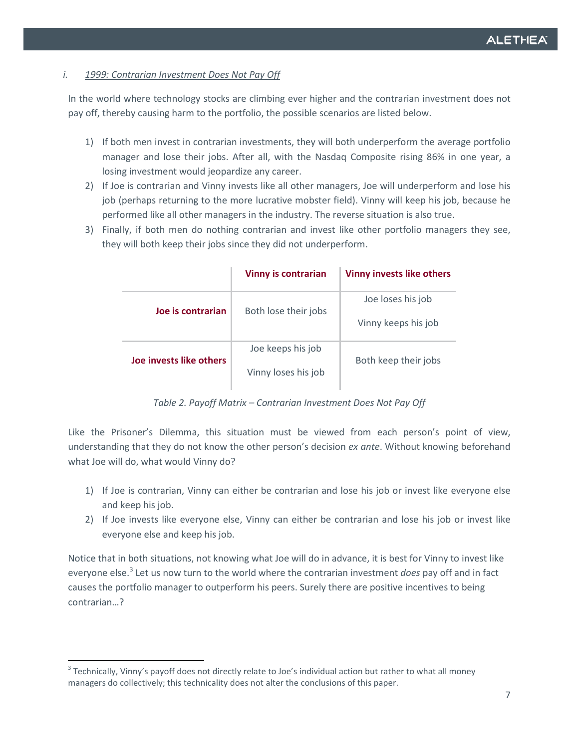#### *i. 1999: Contrarian Investment Does Not Pay Off*

In the world where technology stocks are climbing ever higher and the contrarian investment does not pay off, thereby causing harm to the portfolio, the possible scenarios are listed below.

- 1) If both men invest in contrarian investments, they will both underperform the average portfolio manager and lose their jobs. After all, with the Nasdaq Composite rising 86% in one year, a losing investment would jeopardize any career.
- 2) If Joe is contrarian and Vinny invests like all other managers, Joe will underperform and lose his job (perhaps returning to the more lucrative mobster field). Vinny will keep his job, because he performed like all other managers in the industry. The reverse situation is also true.
- 3) Finally, if both men do nothing contrarian and invest like other portfolio managers they see, they will both keep their jobs since they did not underperform.

|                         | <b>Vinny is contrarian</b>               | <b>Vinny invests like others</b>         |
|-------------------------|------------------------------------------|------------------------------------------|
| Joe is contrarian       | Both lose their jobs                     | Joe loses his job<br>Vinny keeps his job |
| Joe invests like others | Joe keeps his job<br>Vinny loses his job | Both keep their jobs                     |

*Table 2. Payoff Matrix – Contrarian Investment Does Not Pay Off*

Like the Prisoner's Dilemma, this situation must be viewed from each person's point of view, understanding that they do not know the other person's decision *ex ante*. Without knowing beforehand what Joe will do, what would Vinny do?

- 1) If Joe is contrarian, Vinny can either be contrarian and lose his job or invest like everyone else and keep his job.
- 2) If Joe invests like everyone else, Vinny can either be contrarian and lose his job or invest like everyone else and keep his job.

Notice that in both situations, not knowing what Joe will do in advance, it is best for Vinny to invest like everyone else.<sup>[3](#page-5-1)</sup> Let us now turn to the world where the contrarian investment *does* pay off and in fact causes the portfolio manager to outperform his peers. Surely there are positive incentives to being contrarian…?

<span id="page-6-0"></span> $3$  Technically, Vinny's payoff does not directly relate to Joe's individual action but rather to what all money managers do collectively; this technicality does not alter the conclusions of this paper.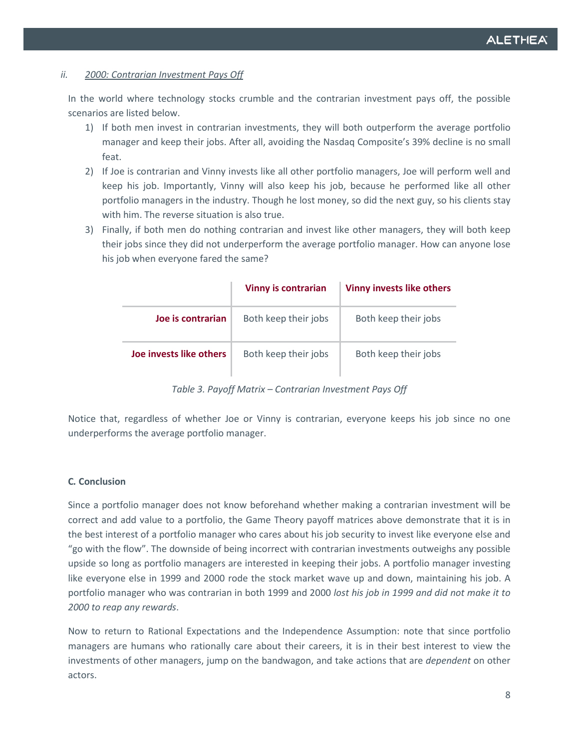#### *ii. 2000: Contrarian Investment Pays Off*

In the world where technology stocks crumble and the contrarian investment pays off, the possible scenarios are listed below.

- 1) If both men invest in contrarian investments, they will both outperform the average portfolio manager and keep their jobs. After all, avoiding the Nasdaq Composite's 39% decline is no small feat.
- 2) If Joe is contrarian and Vinny invests like all other portfolio managers, Joe will perform well and keep his job. Importantly, Vinny will also keep his job, because he performed like all other portfolio managers in the industry. Though he lost money, so did the next guy, so his clients stay with him. The reverse situation is also true.
- 3) Finally, if both men do nothing contrarian and invest like other managers, they will both keep their jobs since they did not underperform the average portfolio manager. How can anyone lose his job when everyone fared the same?

|                         | <b>Vinny is contrarian</b> | <b>Vinny invests like others</b> |
|-------------------------|----------------------------|----------------------------------|
| Joe is contrarian       | Both keep their jobs       | Both keep their jobs             |
| Joe invests like others | Both keep their jobs       | Both keep their jobs             |

*Table 3. Payoff Matrix – Contrarian Investment Pays Off*

Notice that, regardless of whether Joe or Vinny is contrarian, everyone keeps his job since no one underperforms the average portfolio manager.

#### **C***.* **Conclusion**

Since a portfolio manager does not know beforehand whether making a contrarian investment will be correct and add value to a portfolio, the Game Theory payoff matrices above demonstrate that it is in the best interest of a portfolio manager who cares about his job security to invest like everyone else and "go with the flow". The downside of being incorrect with contrarian investments outweighs any possible upside so long as portfolio managers are interested in keeping their jobs. A portfolio manager investing like everyone else in 1999 and 2000 rode the stock market wave up and down, maintaining his job. A portfolio manager who was contrarian in both 1999 and 2000 *lost his job in 1999 and did not make it to 2000 to reap any rewards*.

Now to return to Rational Expectations and the Independence Assumption: note that since portfolio managers are humans who rationally care about their careers, it is in their best interest to view the investments of other managers, jump on the bandwagon, and take actions that are *dependent* on other actors.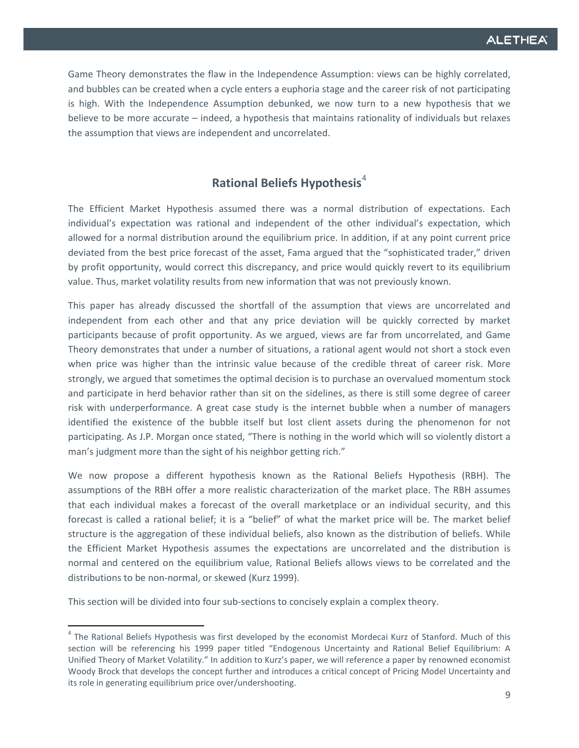Game Theory demonstrates the flaw in the Independence Assumption: views can be highly correlated, and bubbles can be created when a cycle enters a euphoria stage and the career risk of not participating is high. With the Independence Assumption debunked, we now turn to a new hypothesis that we believe to be more accurate – indeed, a hypothesis that maintains rationality of individuals but relaxes the assumption that views are independent and uncorrelated.

# **Rational Beliefs Hypothesis**[4](#page-6-0)

The Efficient Market Hypothesis assumed there was a normal distribution of expectations. Each individual's expectation was rational and independent of the other individual's expectation, which allowed for a normal distribution around the equilibrium price. In addition, if at any point current price deviated from the best price forecast of the asset, Fama argued that the "sophisticated trader," driven by profit opportunity, would correct this discrepancy, and price would quickly revert to its equilibrium value. Thus, market volatility results from new information that was not previously known.

This paper has already discussed the shortfall of the assumption that views are uncorrelated and independent from each other and that any price deviation will be quickly corrected by market participants because of profit opportunity. As we argued, views are far from uncorrelated, and Game Theory demonstrates that under a number of situations, a rational agent would not short a stock even when price was higher than the intrinsic value because of the credible threat of career risk. More strongly, we argued that sometimes the optimal decision is to purchase an overvalued momentum stock and participate in herd behavior rather than sit on the sidelines, as there is still some degree of career risk with underperformance. A great case study is the internet bubble when a number of managers identified the existence of the bubble itself but lost client assets during the phenomenon for not participating. As J.P. Morgan once stated, "There is nothing in the world which will so violently distort a man's judgment more than the sight of his neighbor getting rich."

We now propose a different hypothesis known as the Rational Beliefs Hypothesis (RBH). The assumptions of the RBH offer a more realistic characterization of the market place. The RBH assumes that each individual makes a forecast of the overall marketplace or an individual security, and this forecast is called a rational belief; it is a "belief" of what the market price will be. The market belief structure is the aggregation of these individual beliefs, also known as the distribution of beliefs. While the Efficient Market Hypothesis assumes the expectations are uncorrelated and the distribution is normal and centered on the equilibrium value, Rational Beliefs allows views to be correlated and the distributions to be non-normal, or skewed (Kurz 1999).

This section will be divided into four sub-sections to concisely explain a complex theory.

<sup>&</sup>lt;sup>4</sup> The Rational Beliefs Hypothesis was first developed by the economist Mordecai Kurz of Stanford. Much of this section will be referencing his 1999 paper titled "Endogenous Uncertainty and Rational Belief Equilibrium: A Unified Theory of Market Volatility." In addition to Kurz's paper, we will reference a paper by renowned economist Woody Brock that develops the concept further and introduces a critical concept of Pricing Model Uncertainty and its role in generating equilibrium price over/undershooting.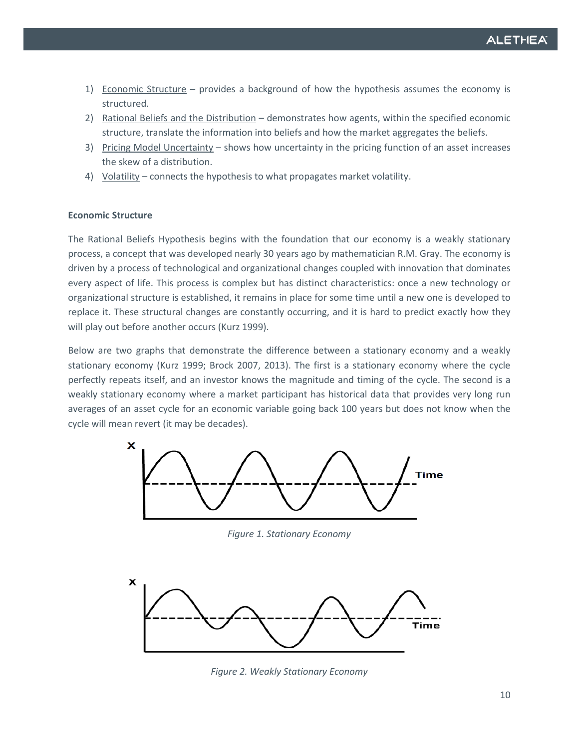- 1) Economic Structure provides a background of how the hypothesis assumes the economy is structured.
- 2) Rational Beliefs and the Distribution demonstrates how agents, within the specified economic structure, translate the information into beliefs and how the market aggregates the beliefs.
- 3) Pricing Model Uncertainty shows how uncertainty in the pricing function of an asset increases the skew of a distribution.
- 4) Volatility connects the hypothesis to what propagates market volatility.

#### **Economic Structure**

The Rational Beliefs Hypothesis begins with the foundation that our economy is a weakly stationary process, a concept that was developed nearly 30 years ago by mathematician R.M. Gray. The economy is driven by a process of technological and organizational changes coupled with innovation that dominates every aspect of life. This process is complex but has distinct characteristics: once a new technology or organizational structure is established, it remains in place for some time until a new one is developed to replace it. These structural changes are constantly occurring, and it is hard to predict exactly how they will play out before another occurs (Kurz 1999).

Below are two graphs that demonstrate the difference between a stationary economy and a weakly stationary economy (Kurz 1999; Brock 2007, 2013). The first is a stationary economy where the cycle perfectly repeats itself, and an investor knows the magnitude and timing of the cycle. The second is a weakly stationary economy where a market participant has historical data that provides very long run averages of an asset cycle for an economic variable going back 100 years but does not know when the cycle will mean revert (it may be decades).



*Figure 1. Stationary Economy*



*Figure 2. Weakly Stationary Economy*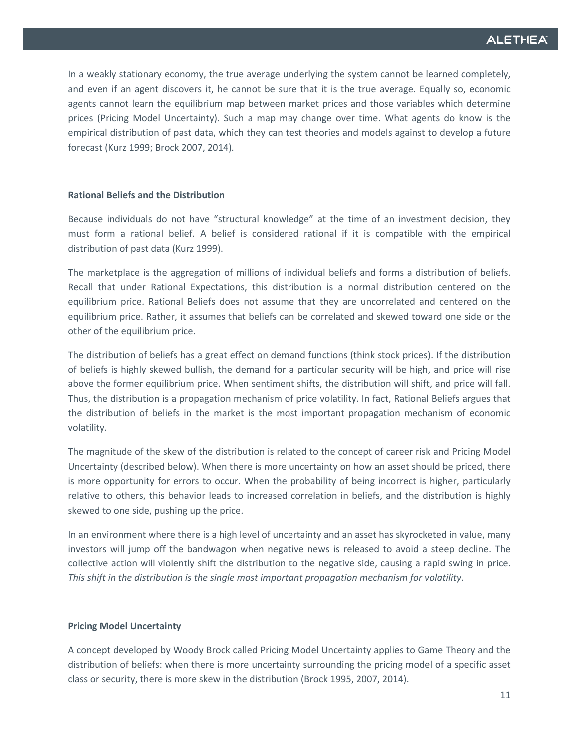In a weakly stationary economy, the true average underlying the system cannot be learned completely, and even if an agent discovers it, he cannot be sure that it is the true average. Equally so, economic agents cannot learn the equilibrium map between market prices and those variables which determine prices (Pricing Model Uncertainty). Such a map may change over time. What agents do know is the empirical distribution of past data, which they can test theories and models against to develop a future forecast (Kurz 1999; Brock 2007, 2014)*.*

#### **Rational Beliefs and the Distribution**

Because individuals do not have "structural knowledge" at the time of an investment decision, they must form a rational belief. A belief is considered rational if it is compatible with the empirical distribution of past data (Kurz 1999).

The marketplace is the aggregation of millions of individual beliefs and forms a distribution of beliefs. Recall that under Rational Expectations, this distribution is a normal distribution centered on the equilibrium price. Rational Beliefs does not assume that they are uncorrelated and centered on the equilibrium price. Rather, it assumes that beliefs can be correlated and skewed toward one side or the other of the equilibrium price.

The distribution of beliefs has a great effect on demand functions (think stock prices). If the distribution of beliefs is highly skewed bullish, the demand for a particular security will be high, and price will rise above the former equilibrium price. When sentiment shifts, the distribution will shift, and price will fall. Thus, the distribution is a propagation mechanism of price volatility. In fact, Rational Beliefs argues that the distribution of beliefs in the market is the most important propagation mechanism of economic volatility.

The magnitude of the skew of the distribution is related to the concept of career risk and Pricing Model Uncertainty (described below). When there is more uncertainty on how an asset should be priced, there is more opportunity for errors to occur. When the probability of being incorrect is higher, particularly relative to others, this behavior leads to increased correlation in beliefs, and the distribution is highly skewed to one side, pushing up the price.

In an environment where there is a high level of uncertainty and an asset has skyrocketed in value, many investors will jump off the bandwagon when negative news is released to avoid a steep decline. The collective action will violently shift the distribution to the negative side, causing a rapid swing in price. *This shift in the distribution is the single most important propagation mechanism for volatility*.

#### **Pricing Model Uncertainty**

A concept developed by Woody Brock called Pricing Model Uncertainty applies to Game Theory and the distribution of beliefs: when there is more uncertainty surrounding the pricing model of a specific asset class or security, there is more skew in the distribution (Brock 1995, 2007, 2014).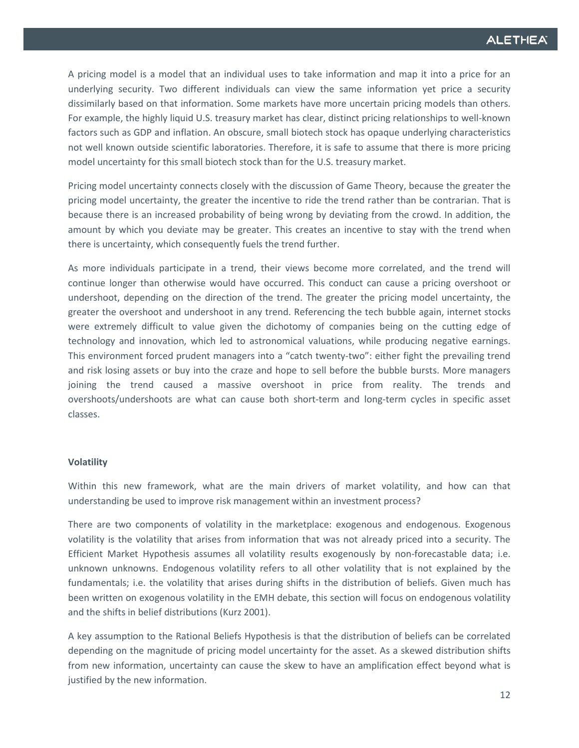A pricing model is a model that an individual uses to take information and map it into a price for an underlying security. Two different individuals can view the same information yet price a security dissimilarly based on that information. Some markets have more uncertain pricing models than others. For example, the highly liquid U.S. treasury market has clear, distinct pricing relationships to well-known factors such as GDP and inflation. An obscure, small biotech stock has opaque underlying characteristics not well known outside scientific laboratories. Therefore, it is safe to assume that there is more pricing model uncertainty for this small biotech stock than for the U.S. treasury market.

Pricing model uncertainty connects closely with the discussion of Game Theory, because the greater the pricing model uncertainty, the greater the incentive to ride the trend rather than be contrarian. That is because there is an increased probability of being wrong by deviating from the crowd. In addition, the amount by which you deviate may be greater. This creates an incentive to stay with the trend when there is uncertainty, which consequently fuels the trend further.

As more individuals participate in a trend, their views become more correlated, and the trend will continue longer than otherwise would have occurred. This conduct can cause a pricing overshoot or undershoot, depending on the direction of the trend. The greater the pricing model uncertainty, the greater the overshoot and undershoot in any trend. Referencing the tech bubble again, internet stocks were extremely difficult to value given the dichotomy of companies being on the cutting edge of technology and innovation, which led to astronomical valuations, while producing negative earnings. This environment forced prudent managers into a "catch twenty-two": either fight the prevailing trend and risk losing assets or buy into the craze and hope to sell before the bubble bursts. More managers joining the trend caused a massive overshoot in price from reality. The trends and overshoots/undershoots are what can cause both short-term and long-term cycles in specific asset classes.

#### **Volatility**

Within this new framework, what are the main drivers of market volatility, and how can that understanding be used to improve risk management within an investment process?

There are two components of volatility in the marketplace: exogenous and endogenous. Exogenous volatility is the volatility that arises from information that was not already priced into a security. The Efficient Market Hypothesis assumes all volatility results exogenously by non-forecastable data; i.e. unknown unknowns. Endogenous volatility refers to all other volatility that is not explained by the fundamentals; i.e. the volatility that arises during shifts in the distribution of beliefs. Given much has been written on exogenous volatility in the EMH debate, this section will focus on endogenous volatility and the shifts in belief distributions (Kurz 2001).

A key assumption to the Rational Beliefs Hypothesis is that the distribution of beliefs can be correlated depending on the magnitude of pricing model uncertainty for the asset. As a skewed distribution shifts from new information, uncertainty can cause the skew to have an amplification effect beyond what is justified by the new information.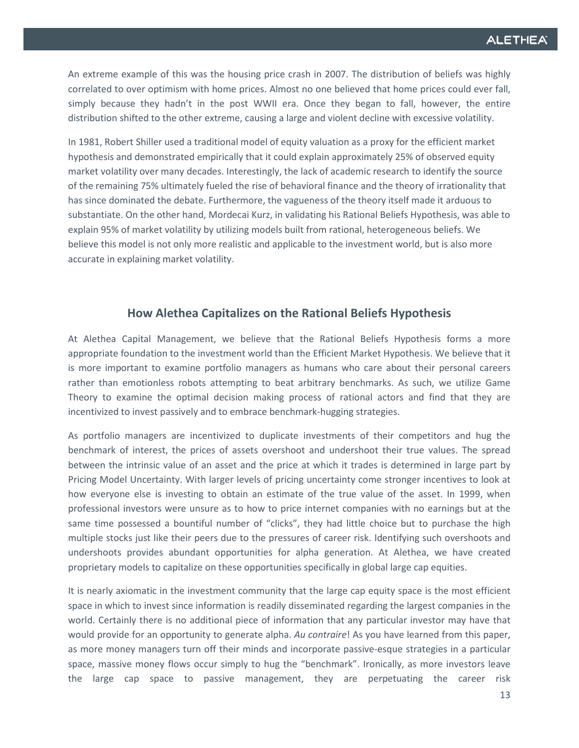An extreme example of this was the housing price crash in 2007. The distribution of beliefs was highly correlated to over optimism with home prices. Almost no one believed that home prices could ever fall, simply because they hadn't in the post WWII era. Once they began to fall, however, the entire distribution shifted to the other extreme, causing a large and violent decline with excessive volatility.

In 1981, Robert Shiller used a traditional model of equity valuation as a proxy for the efficient market hypothesis and demonstrated empirically that it could explain approximately 25% of observed equity market volatility over many decades. Interestingly, the lack of academic research to identify the source of the remaining 75% ultimately fueled the rise of behavioral finance and the theory of irrationality that has since dominated the debate. Furthermore, the vagueness of the theory itself made it arduous to substantiate. On the other hand, Mordecai Kurz, in validating his Rational Beliefs Hypothesis, was able to explain 95% of market volatility by utilizing models built from rational, heterogeneous beliefs. We believe this model is not only more realistic and applicable to the investment world, but is also more accurate in explaining market volatility.

## **How Alethea Capitalizes on the Rational Beliefs Hypothesis**

At Alethea Capital Management, we believe that the Rational Beliefs Hypothesis forms a more appropriate foundation to the investment world than the Efficient Market Hypothesis. We believe that it is more important to examine portfolio managers as humans who care about their personal careers rather than emotionless robots attempting to beat arbitrary benchmarks. As such, we utilize Game Theory to examine the optimal decision making process of rational actors and find that they are incentivized to invest passively and to embrace benchmark-hugging strategies.

As portfolio managers are incentivized to duplicate investments of their competitors and hug the benchmark of interest, the prices of assets overshoot and undershoot their true values. The spread between the intrinsic value of an asset and the price at which it trades is determined in large part by Pricing Model Uncertainty. With larger levels of pricing uncertainty come stronger incentives to look at how everyone else is investing to obtain an estimate of the true value of the asset. In 1999, when professional investors were unsure as to how to price internet companies with no earnings but at the same time possessed a bountiful number of "clicks", they had little choice but to purchase the high multiple stocks just like their peers due to the pressures of career risk. Identifying such overshoots and undershoots provides abundant opportunities for alpha generation. At Alethea, we have created proprietary models to capitalize on these opportunities specifically in global large cap equities.

It is nearly axiomatic in the investment community that the large cap equity space is the most efficient space in which to invest since information is readily disseminated regarding the largest companies in the world. Certainly there is no additional piece of information that any particular investor may have that would provide for an opportunity to generate alpha. *Au contraire*! As you have learned from this paper, as more money managers turn off their minds and incorporate passive-esque strategies in a particular space, massive money flows occur simply to hug the "benchmark". Ironically, as more investors leave the large cap space to passive management, they are perpetuating the career risk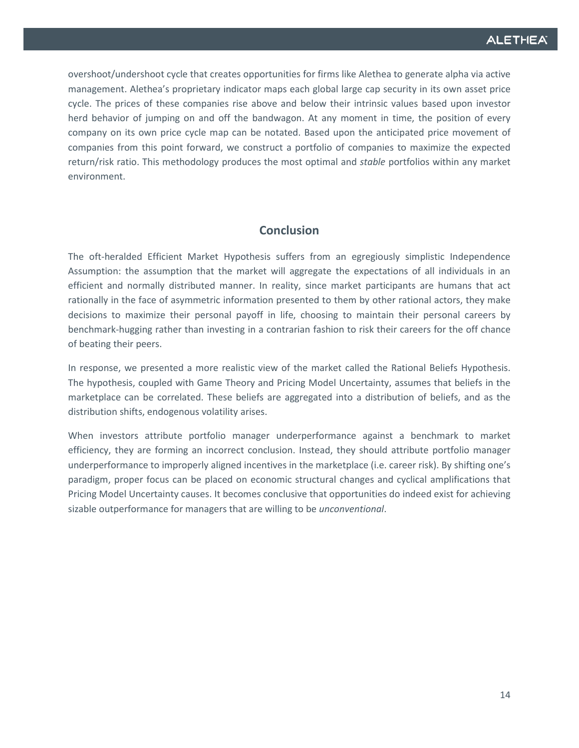overshoot/undershoot cycle that creates opportunities for firms like Alethea to generate alpha via active management. Alethea's proprietary indicator maps each global large cap security in its own asset price cycle. The prices of these companies rise above and below their intrinsic values based upon investor herd behavior of jumping on and off the bandwagon. At any moment in time, the position of every company on its own price cycle map can be notated. Based upon the anticipated price movement of companies from this point forward, we construct a portfolio of companies to maximize the expected return/risk ratio. This methodology produces the most optimal and *stable* portfolios within any market environment.

# **Conclusion**

The oft-heralded Efficient Market Hypothesis suffers from an egregiously simplistic Independence Assumption: the assumption that the market will aggregate the expectations of all individuals in an efficient and normally distributed manner. In reality, since market participants are humans that act rationally in the face of asymmetric information presented to them by other rational actors, they make decisions to maximize their personal payoff in life, choosing to maintain their personal careers by benchmark-hugging rather than investing in a contrarian fashion to risk their careers for the off chance of beating their peers.

In response, we presented a more realistic view of the market called the Rational Beliefs Hypothesis. The hypothesis, coupled with Game Theory and Pricing Model Uncertainty, assumes that beliefs in the marketplace can be correlated. These beliefs are aggregated into a distribution of beliefs, and as the distribution shifts, endogenous volatility arises.

When investors attribute portfolio manager underperformance against a benchmark to market efficiency, they are forming an incorrect conclusion. Instead, they should attribute portfolio manager underperformance to improperly aligned incentives in the marketplace (i.e. career risk). By shifting one's paradigm, proper focus can be placed on economic structural changes and cyclical amplifications that Pricing Model Uncertainty causes. It becomes conclusive that opportunities do indeed exist for achieving sizable outperformance for managers that are willing to be *unconventional*.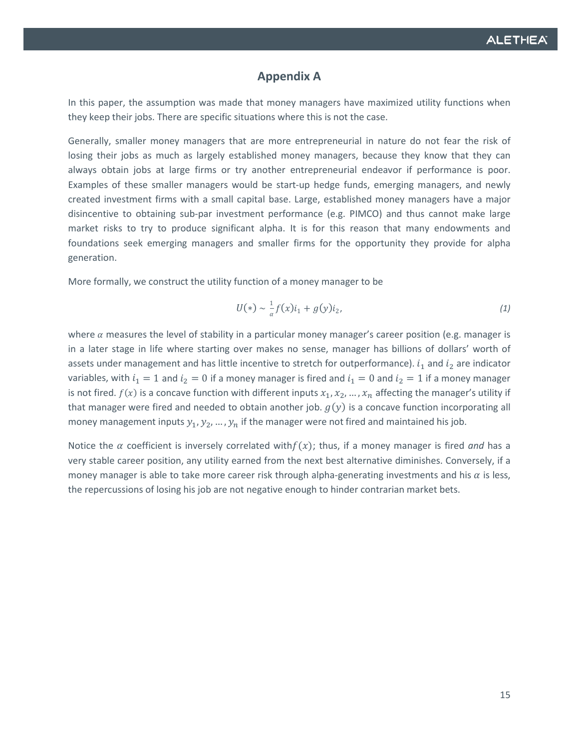# **Appendix A**

In this paper, the assumption was made that money managers have maximized utility functions when they keep their jobs. There are specific situations where this is not the case.

Generally, smaller money managers that are more entrepreneurial in nature do not fear the risk of losing their jobs as much as largely established money managers, because they know that they can always obtain jobs at large firms or try another entrepreneurial endeavor if performance is poor. Examples of these smaller managers would be start-up hedge funds, emerging managers, and newly created investment firms with a small capital base. Large, established money managers have a major disincentive to obtaining sub-par investment performance (e.g. PIMCO) and thus cannot make large market risks to try to produce significant alpha. It is for this reason that many endowments and foundations seek emerging managers and smaller firms for the opportunity they provide for alpha generation.

More formally, we construct the utility function of a money manager to be

$$
U(*) \sim \frac{1}{\alpha} f(x) i_1 + g(y) i_2, \tag{1}
$$

where  $\alpha$  measures the level of stability in a particular money manager's career position (e.g. manager is in a later stage in life where starting over makes no sense, manager has billions of dollars' worth of assets under management and has little incentive to stretch for outperformance).  $i_1$  and  $i_2$  are indicator variables, with  $i_1 = 1$  and  $i_2 = 0$  if a money manager is fired and  $i_1 = 0$  and  $i_2 = 1$  if a money manager is not fired.  $f(x)$  is a concave function with different inputs  $x_1, x_2, ..., x_n$  affecting the manager's utility if that manager were fired and needed to obtain another job.  $g(y)$  is a concave function incorporating all money management inputs  $y_1, y_2, ..., y_n$  if the manager were not fired and maintained his job.

Notice the  $\alpha$  coefficient is inversely correlated with  $f(x)$ ; thus, if a money manager is fired *and* has a very stable career position, any utility earned from the next best alternative diminishes. Conversely, if a money manager is able to take more career risk through alpha-generating investments and his  $\alpha$  is less, the repercussions of losing his job are not negative enough to hinder contrarian market bets.